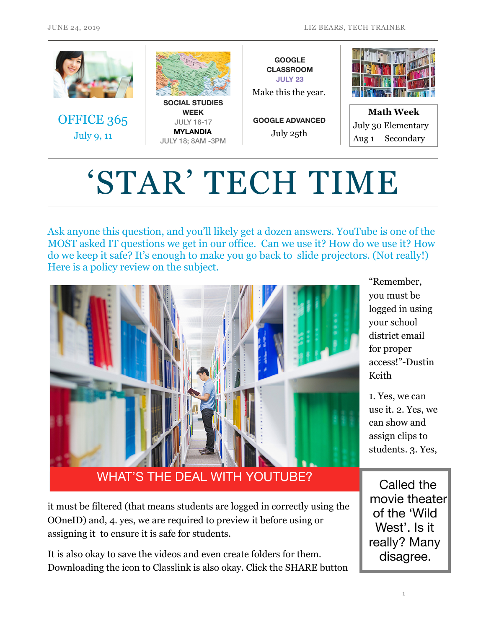

# 'STAR' TECH TIME

Ask anyone this question, and you'll likely get a dozen answers. YouTube is one of the MOST asked IT questions we get in our office. Can we use it? How do we use it? How do we keep it safe? It's enough to make you go back to slide projectors. (Not really!) Here is a policy review on the subject.



"Remember, you must be logged in using your school district email for proper access!"-Dustin Keith

1. Yes, we can use it. 2. Yes, we can show and assign clips to students. 3. Yes,

WHAT'S THE DEAL WITH YOUTUBE?

it must be filtered (that means students are logged in correctly using the OOneID) and, 4. yes, we are required to preview it before using or assigning it to ensure it is safe for students.

It is also okay to save the videos and even create folders for them. Downloading the icon to Classlink is also okay. Click the SHARE button

Called the movie theater of the 'Wild West'. Is it really? Many disagree.